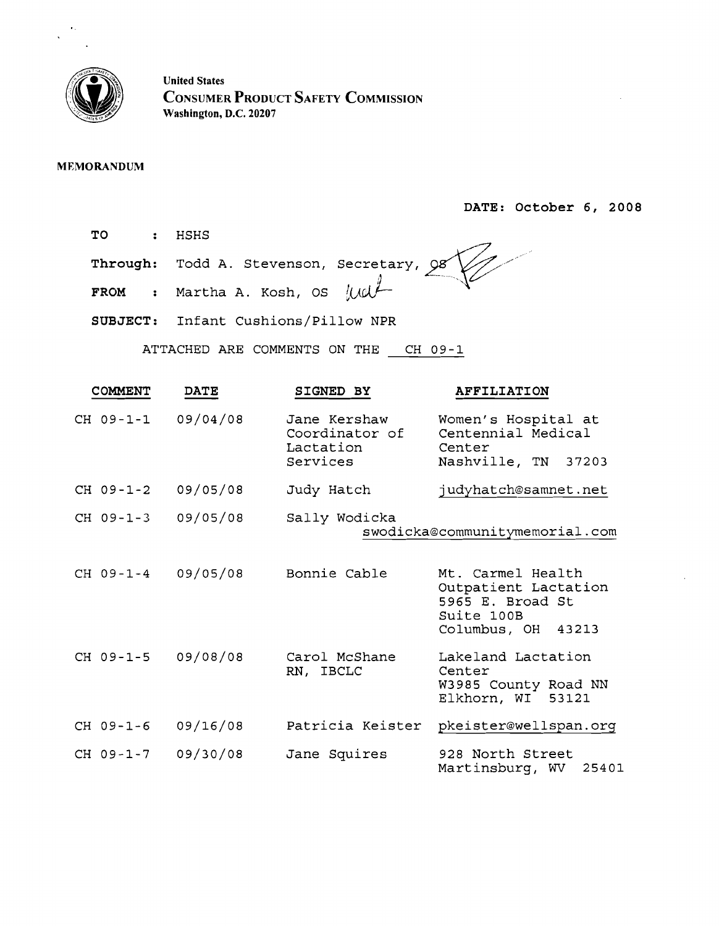

United States CONSUMER PRODUCT SAFETY COMMISSION Washington, D.C. 20207

### MEMORANDUM

DATE: October 6, 2008

TO : HSHS

Through: Todd A. Stevenson, Secretary, Q8 FROM : Martha A. Kosh, OS 11 xa

SUBJECT: Infant Cushions/Pillow NPR

ATTACHED ARE COMMENTS ON THE CH 09-1

| <b>COMMENT</b>     | <b>DATE</b> | SIGNED BY                                               | <b>AFFILIATION</b>                                                                                |
|--------------------|-------------|---------------------------------------------------------|---------------------------------------------------------------------------------------------------|
| CH 09-1-1          | 09/04/08    | Jane Kershaw<br>Coordinator of<br>Lactation<br>Services | Women's Hospital at<br>Centennial Medical<br>Center<br>Nashville, TN 37203                        |
| CH 09-1-2          | 09/05/08    | Judy Hatch                                              | judyhatch@samnet.net                                                                              |
| CH 09-1-3          | 09/05/08    | Sally Wodicka                                           | swodicka@communitymemorial.com                                                                    |
| CH 09-1-4 09/05/08 |             | Bonnie Cable                                            | Mt. Carmel Health<br>Outpatient Lactation<br>5965 E. Broad St<br>Suite 100B<br>Columbus, OH 43213 |
| CH 09-1-5          | 09/08/08    | Carol McShane<br>RN, IBCLC                              | Lakeland Lactation<br>Center<br>W3985 County Road NN<br>Elkhorn, WI 53121                         |
| CH 09-1-6          | 09/16/08    | Patricia Keister                                        | pkeister@wellspan.org                                                                             |
| CH 09-1-7          | 09/30/08    | Jane Squires                                            | 928 North Street<br>Martinsburg, WV<br>25401                                                      |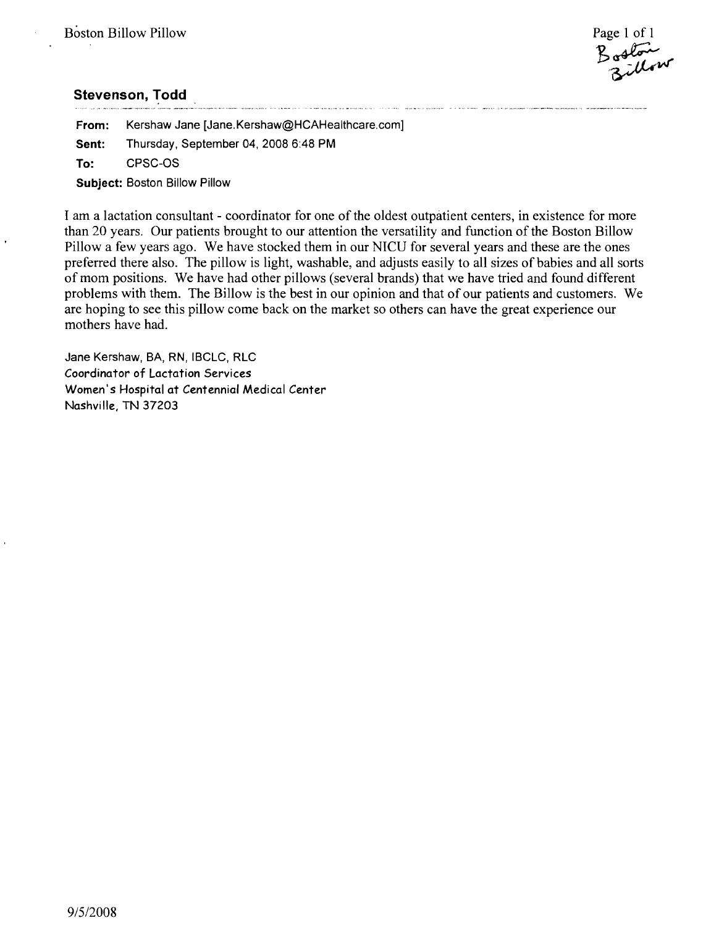Boston<br>Billow

**From:** Kershaw Jane [Jane.Kershaw@HCAHealthcare.com] Sent: Thursday, September 04, 2008 6:48 PM To: CPSC-OS **Subject:** Boston Billow Pillow

I am a lactation consultant - coordinator for one of the oldest outpatient centers, in existence for more than 20 years. Our patients brought to our attention the versatility and function of the Boston Billow Pillow a few years ago. We have stocked them in our NICU for several years and these are the ones preferred there also. The pillow is light, washable, and adjusts easily to all sizes of babies and all sorts of mom positions. We have had other pillows (several brands) that we have tried and found different problems with them. The Billow is the best in our opinion and that of our patients and customers. We are hoping to see this pillow come back on the market so others can have the great experience our mothers have had.

Jane Kershaw, BA, RN, IBCLC, RLC Coordinator of Lactation Services Women's Hospital at Centennial Medical Center Nashville, TN 37203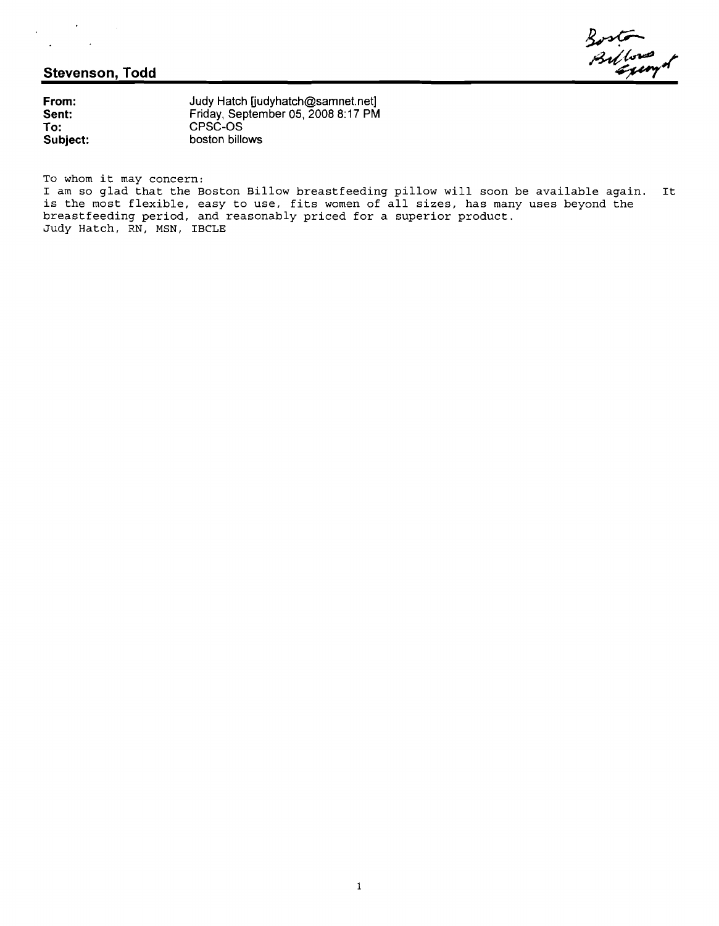$\bar{z}$ 

 $\sim$   $\sim$ 

 $\ddot{\phantom{a}}$ 

**From: Judy Hatch [judyhatch@samnet.net]**<br>**Sent:** Friday, September 05, 2008 8:17 PM **Sent:** Friday, September 05, 2008 8:17 PM<br> **To:** CPSC-OS **To:** CPSC-OS **SUbject:** boston billows

To whom it may concern:

I am so glad that the Boston Billow breastfeeding pillow will soon be available again. It is the most flexible, easy to use, fits women of all sizes, has many uses beyond the breastfeeding period, and reasonably priced for a superior product. Judy Hatch, RN, MSN, IBCLE

Boston<br>Billongo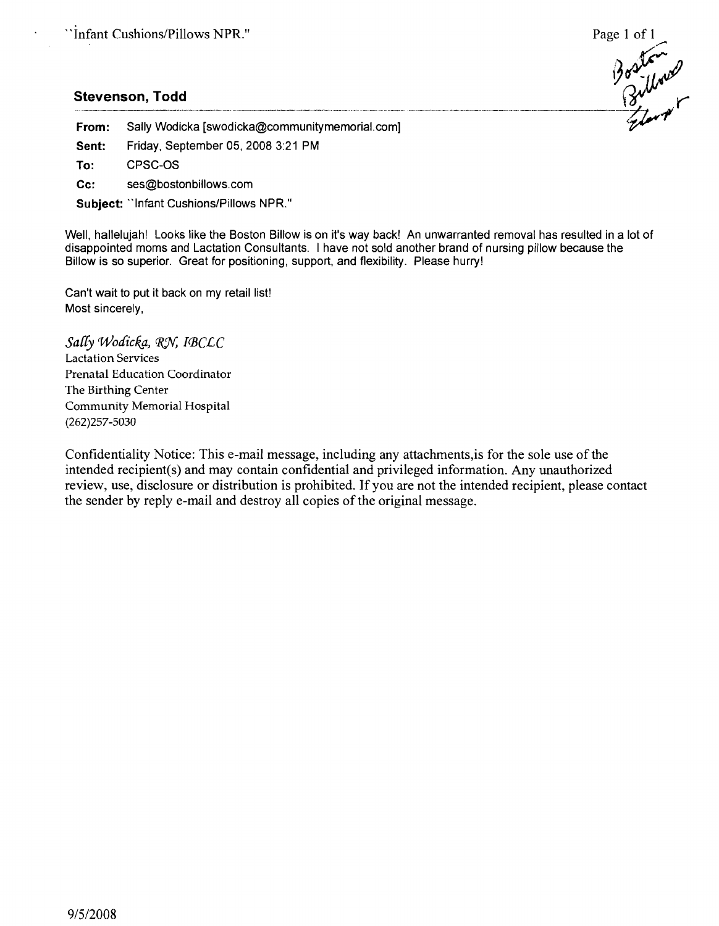$\mathcal{Y}'$  $7/2$  r

# Boston, Todd **Carl and Container the Contract of Containing Section** Boston Contract Providence Contains of Contains of Containing Containing Containing Containing Containing Containing Containing Containing Containing Con

From: Sally Wodicka [swodicka@communitymemorial.com]

Sent: Friday, September 05, 2008 3:21 PM

To: CPSC-OS

Cc: ses@bostonbillows.com

Subject: "Infant Cushions/Pillows NPR."

Well, hallelujah! Looks like the Boston Billow is on it's way back! An unwarranted removal has resulted in a lot of disappointed moms and Lactation Consultants. I have not sold another brand of nursing pillow because the Billow is so superior. Great for positioning, support, and flexibility. Please hurry!

Can't wait to put it back on my retail list! Most sincerely,

 $S$ ally *Wodicka*, *RN, IBCLC* Lactation Services Prenatal Education Coordinator The Birthing Center Community Memorial Hospital (262)257-5030

Confidentiality Notice: This e-mail message, including any attachments, is for the sole use of the intended recipient(s) and may contain confidential and privileged information. Any unauthorized review, use, disclosure or distribution is prohibited. If you are not the intended recipient, please contact the sender by reply e-mail and destroy all copies of the original message.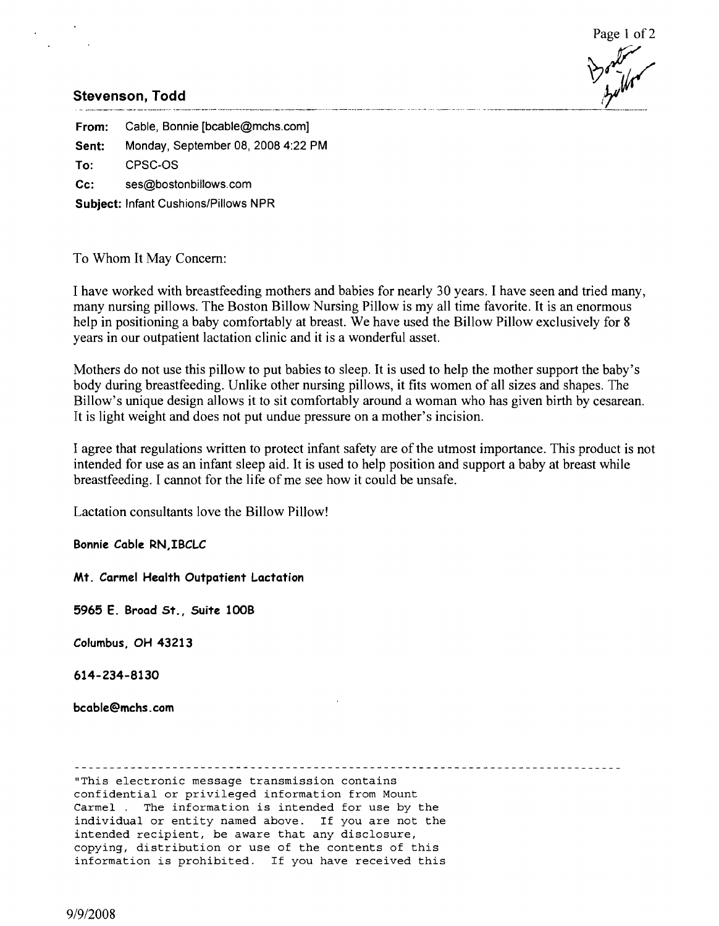



# ~.~~~~~~~~~\_.~\_~~~.\_"\_" \_\_. .... .\_". ,,".\_"..\_\_ ". ..\_\_\_\_.\_.. \_\_ .\_"\_ .\_\_ \_."\_" \_" " *.. .* b~\_.*\_\_..\_.\_\_*

From: Cable, Bonnie [bcable@mchs.com] Sent: Monday, September 08, 2008 4:22 PM To: CPSC-OS Cc: ses@bostonbillows.com Subject: Infant Cushions/Pillows NPR

To Whom It May Concern:

I have worked with breastfeeding mothers and babies for nearly 30 years. I have seen and tried many, many nursing pillows. The Boston Billow Nursing Pillow is my all time favorite. It is an enormous help in positioning a baby comfortably at breast. We have used the Billow Pillow exclusively for 8 years in our outpatient lactation clinic and it is a wonderful asset.

Mothers do not use this pillow to put babies to sleep. It is used to help the mother support the baby's body during breastfeeding. Unlike other nursing pillows, it fits women of all sizes and shapes. The Billow's unique design allows it to sit comfortably around a woman who has given birth by cesarean. It is light weight and does not put undue pressure on a mother's incision.

I agree that regulations written to protect infant safety are of the utmost importance. This product is not intended for use as an infant sleep aid. It is used to help position and support a baby at breast while breastfeeding. I cannot for the life of me see how it could be unsafe.

Lactation consultants love the Billow Pillow!

Bonnie Cable RN,IBCLC

Mt. Carmel Health Outpatient Lactation

5965 E. Broad St., Suite 100B

Columbus, OH 43213

614-234-8130

bcable@mchs.com

"This electronic message transmission contains confidential or privileged information from Mount Carmel. The information is intended for use by the individual or entity named above. If you are not the intended recipient, be aware that any disclosure, copying, distribution or use of the contents of this information is prohibited. If you have received this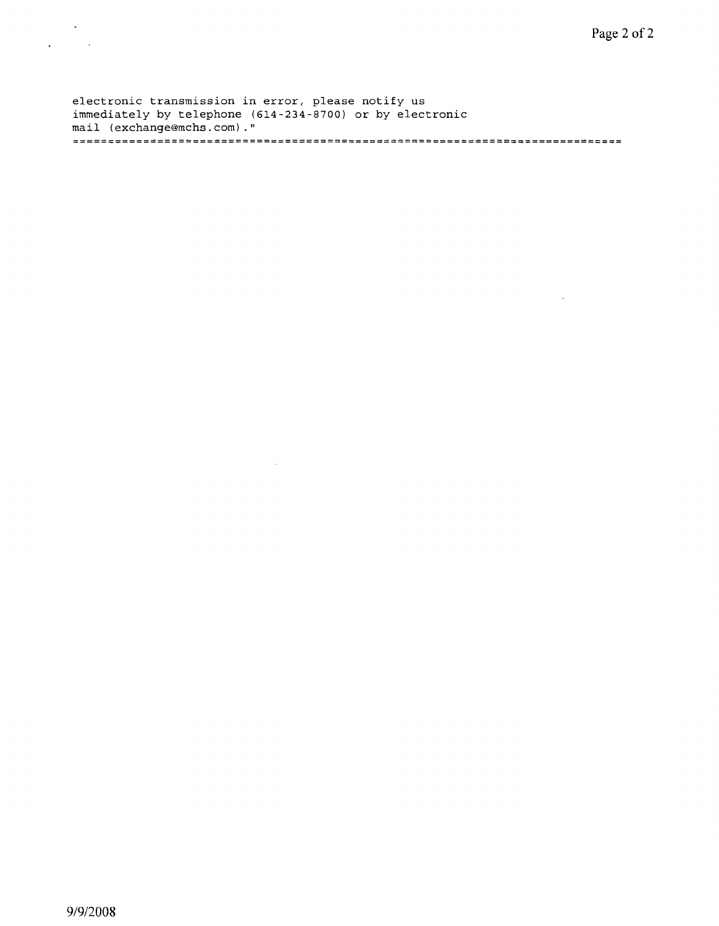$\sim$ 

electronic transmission in error, please notify us immediately by telephone (614-234-8700) or by electronic mail (exchange@mchs.com)."

 $\sim 10^7$ 

 $\sim 10$  $\mathcal{L}^{\text{max}}$  and  $\mathcal{L}^{\text{max}}$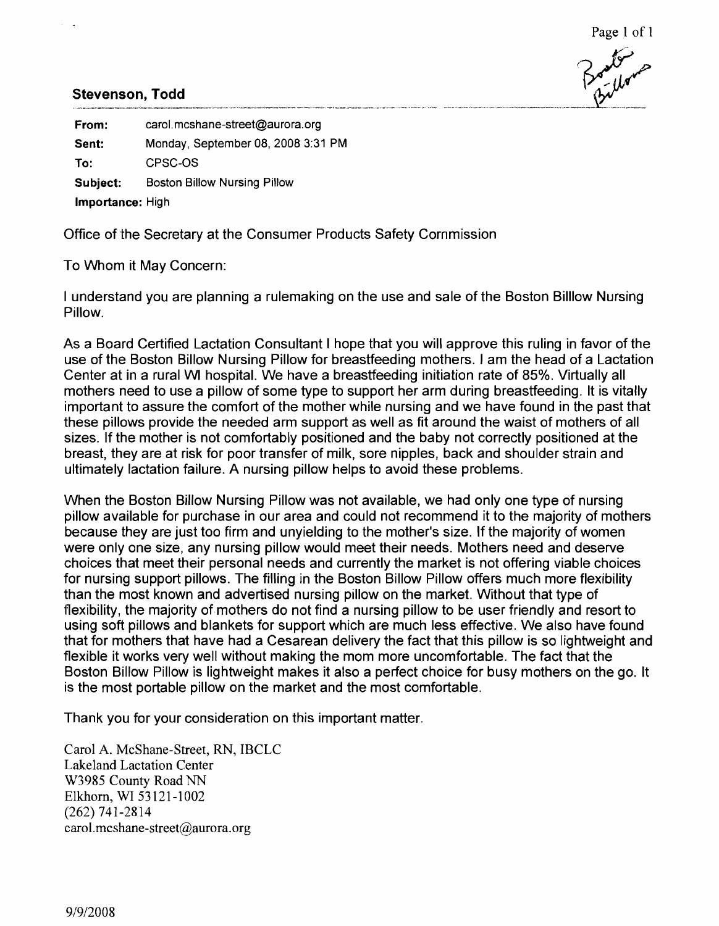From: carol.mcshane-street@aurora.org Sent: Monday, September 08, 2008 3:31 PM To: CPSC-OS Subject: Boston Billow Nursing Pillow Importance: High

Office of the Secretary at the Consumer Products Safety Commission

To Whom it May Concern:

I understand you are planning a rulemaking on the use and sale of the Boston Billiow Nursing Pillow.

As a Board Certified Lactation Consultant I hope that you will approve this ruling in favor of the use of the Boston Billow Nursing Pillow for breastfeeding mothers. I am the head of a Lactation Center at in a rural WI hospital. We have a breastfeeding initiation rate of 85%. Virtually all mothers need to use a pillow of some type to support her arm during breastfeeding. It is vitally important to assure the comfort of the mother while nursing and we have found in the past that these pillows provide the needed arm support as well as fit around the waist of mothers of all sizes. If the mother is not comfortably positioned and the baby not correctly positioned at the breast, they are at risk for poor transfer of milk, sore nipples, back and shoulder strain and ultimately lactation failure. A nursing pillow helps to avoid these problems.

When the Boston Billow Nursing Pillow was not available, we had only one type of nursing pillow available for purchase in our area and could not recommend it to the majority of mothers because they are just too firm and unyielding to the mother's size. If the majority of women were only one size, any nursing pillow would meet their needs. Mothers need and deserve choices that meet their personal needs and currently the market is not offering viable choices for nursing support pillows. The filling in the Boston Billow Pillow offers much more flexibility than the most known and advertised nursing pillow on the market. Without that type of flexibility, the majority of mothers do not find a nursing pillow to be user friendly and resort to using soft pillows and blankets for support which are much less effective. We also have found that for mothers that have had a Cesarean delivery the fact that this pillow is so lightweight and flexible it works very well without making the mom more uncomfortable. The fact that the Boston Billow Pillow is lightweight makes it also a perfect choice for busy mothers on the go. It is the most portable pillow on the market and the most comfortable.

Thank you for your consideration on this important matter.

Carol A. McShane-Street, RN, IBCLC Lakeland Lactation Center W3985 County Road NN Elkhorn, WI 53121-1002 (262) 741-2814 carol.mcshane-street@aurora.org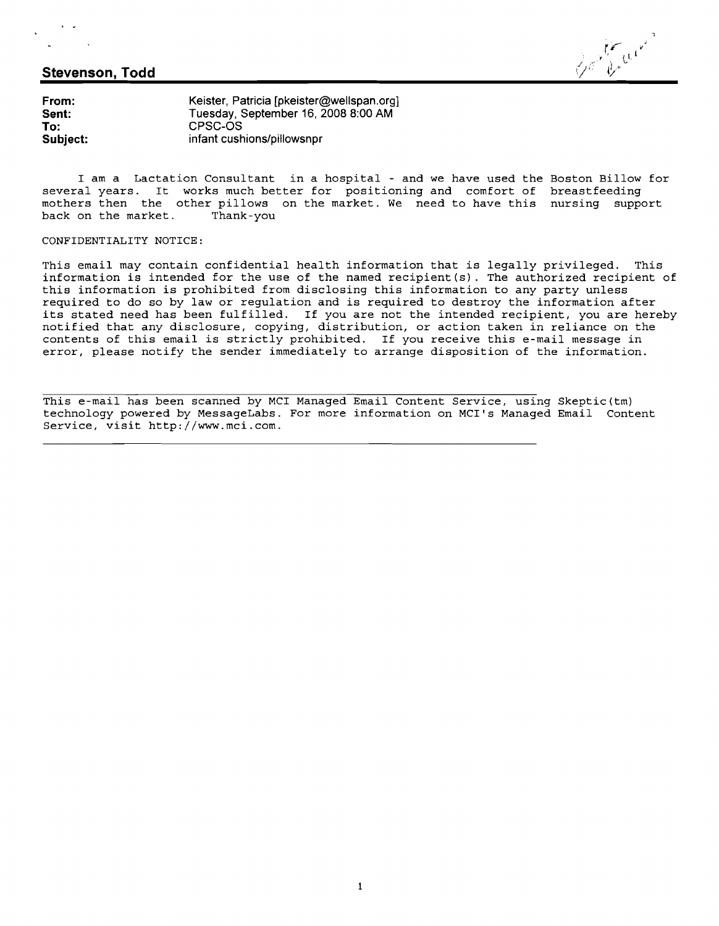), v<sup>i</sup>

**From:** Keister, Patricia [pkeister@wellspan,org] **Sent:** Tuesday, September 16, 2008 8:00 AM **To:** CPSC-OS **Subject:** infant cushions/pillowsnpr

I am a Lactation Consultant in a hospital - and we have used the Boston Billow for several years. It works much better for positioning and comfort of breastfeeding mothers then the other pillows on the market. We need to have this nursing support<br>back on the market. Thank-you back on the market.

#### CONFIDENTIALITY NOTICE:

This email may contain confidential health information that is legally privileged. This information is intended for the use of the named recipient(s). The authorized recipient of this information is prohibited from disclosing this information to any party unless required to do so by law or regulation and is required to destroy the information after its stated need has been fulfilled. If you are not the intended recipient, you are hereby notified that any disclosure, copying, distribution, or action taken in reliance on the contents of this email is strictly prohibited. If you receive this e-mail message in error, please notify the sender immediately to arrange disposition of the information.

This e-mail has been scanned by MCI Managed Email Content Service, using Skeptic(tm) technology powered by MessageLabs. For more information on MCI's Managed Email Content Service, visit http://www.mci.com.